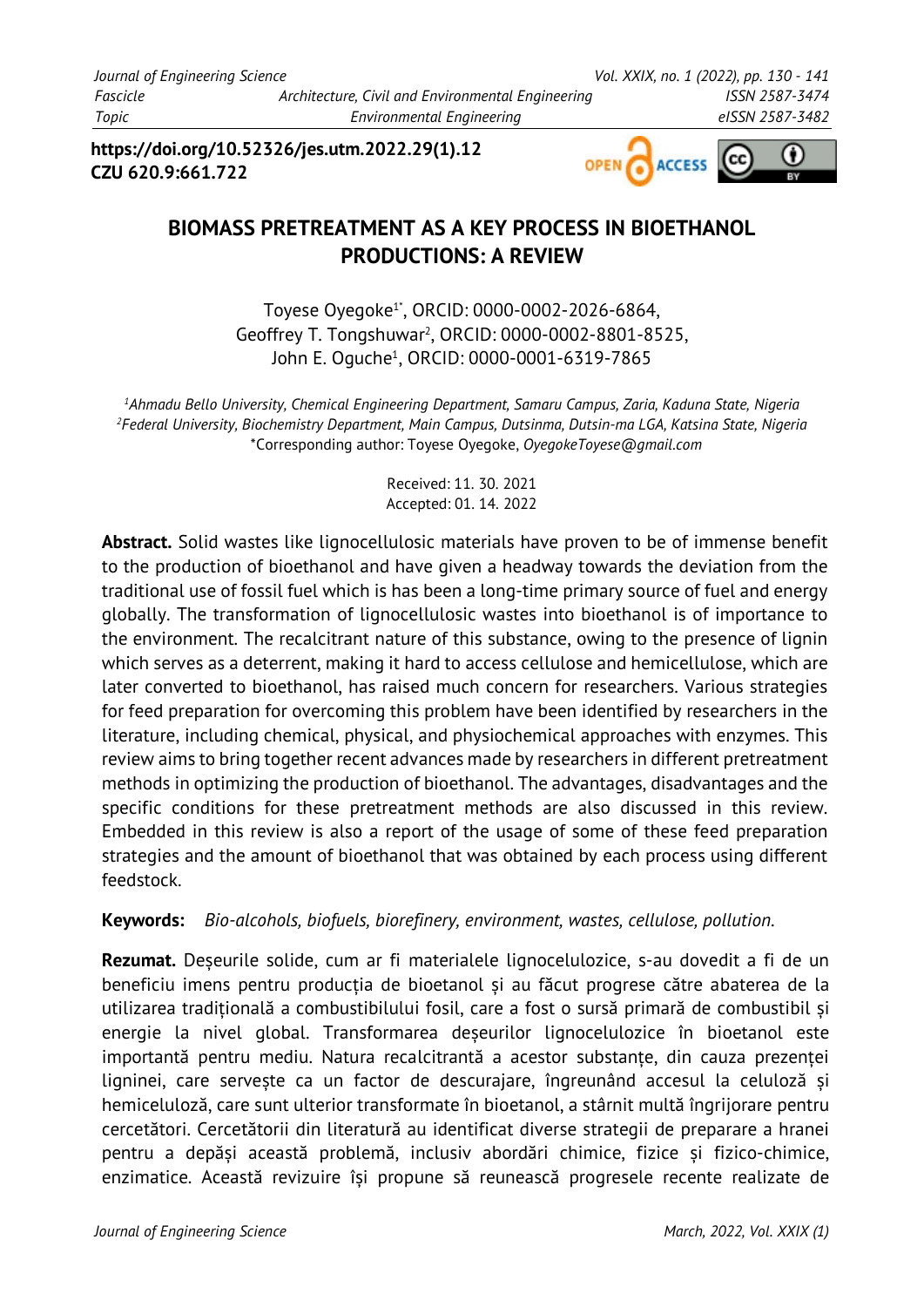**https://doi.org/10.52326/jes.utm.2022.29(1).12 CZU 620.9:661.722**



# **BIOMASS PRETREATMENT AS A KEY PROCESS IN BIOETHANOL PRODUCTIONS: A REVIEW**

Toyese Oyegoke1\*, ORCID: 0000-0002-2026-6864, Geoffrey T. Tongshuwar2 , ORCID: 0000-0002-8801-8525, John E. Oguche1, ORCID: 0000-0001-6319-7865

*1 Ahmadu Bello University, Chemical Engineering Department, Samaru Campus, Zaria, Kaduna State, Nigeria 2 Federal University, Biochemistry Department, Main Campus, Dutsinma, Dutsin-ma LGA, Katsina State, Nigeria* \*Corresponding author: Toyese Oyegoke, *OyegokeToyese@gmail.com*

> Received: 11. 30. 2021 Accepted: 01. 14. 2022

**Abstract.** Solid wastes like lignocellulosic materials have proven to be of immense benefit to the production of bioethanol and have given a headway towards the deviation from the traditional use of fossil fuel which is has been a long-time primary source of fuel and energy globally. The transformation of lignocellulosic wastes into bioethanol is of importance to the environment. The recalcitrant nature of this substance, owing to the presence of lignin which serves as a deterrent, making it hard to access cellulose and hemicellulose, which are later converted to bioethanol, has raised much concern for researchers. Various strategies for feed preparation for overcoming this problem have been identified by researchers in the literature, including chemical, physical, and physiochemical approaches with enzymes. This review aims to bring together recent advances made by researchers in different pretreatment methods in optimizing the production of bioethanol. The advantages, disadvantages and the specific conditions for these pretreatment methods are also discussed in this review. Embedded in this review is also a report of the usage of some of these feed preparation strategies and the amount of bioethanol that was obtained by each process using different feedstock.

**Keywords:** *Bio-alcohols, biofuels, biorefinery, environment, wastes, cellulose, pollution.*

**Rezumat.** Deșeurile solide, cum ar fi materialele lignocelulozice, s-au dovedit a fi de un beneficiu imens pentru producția de bioetanol și au făcut progrese către abaterea de la utilizarea tradițională a combustibilului fosil, care a fost o sursă primară de combustibil și energie la nivel global. Transformarea deșeurilor lignocelulozice în bioetanol este importantă pentru mediu. Natura recalcitrantă a acestor substanțe, din cauza prezenței ligninei, care servește ca un factor de descurajare, îngreunând accesul la celuloză și hemiceluloză, care sunt ulterior transformate în bioetanol, a stârnit multă îngrijorare pentru cercetători. Cercetătorii din literatură au identificat diverse strategii de preparare a hranei pentru a depăși această problemă, inclusiv abordări chimice, fizice și fizico-chimice, enzimatice. Această revizuire își propune să reunească progresele recente realizate de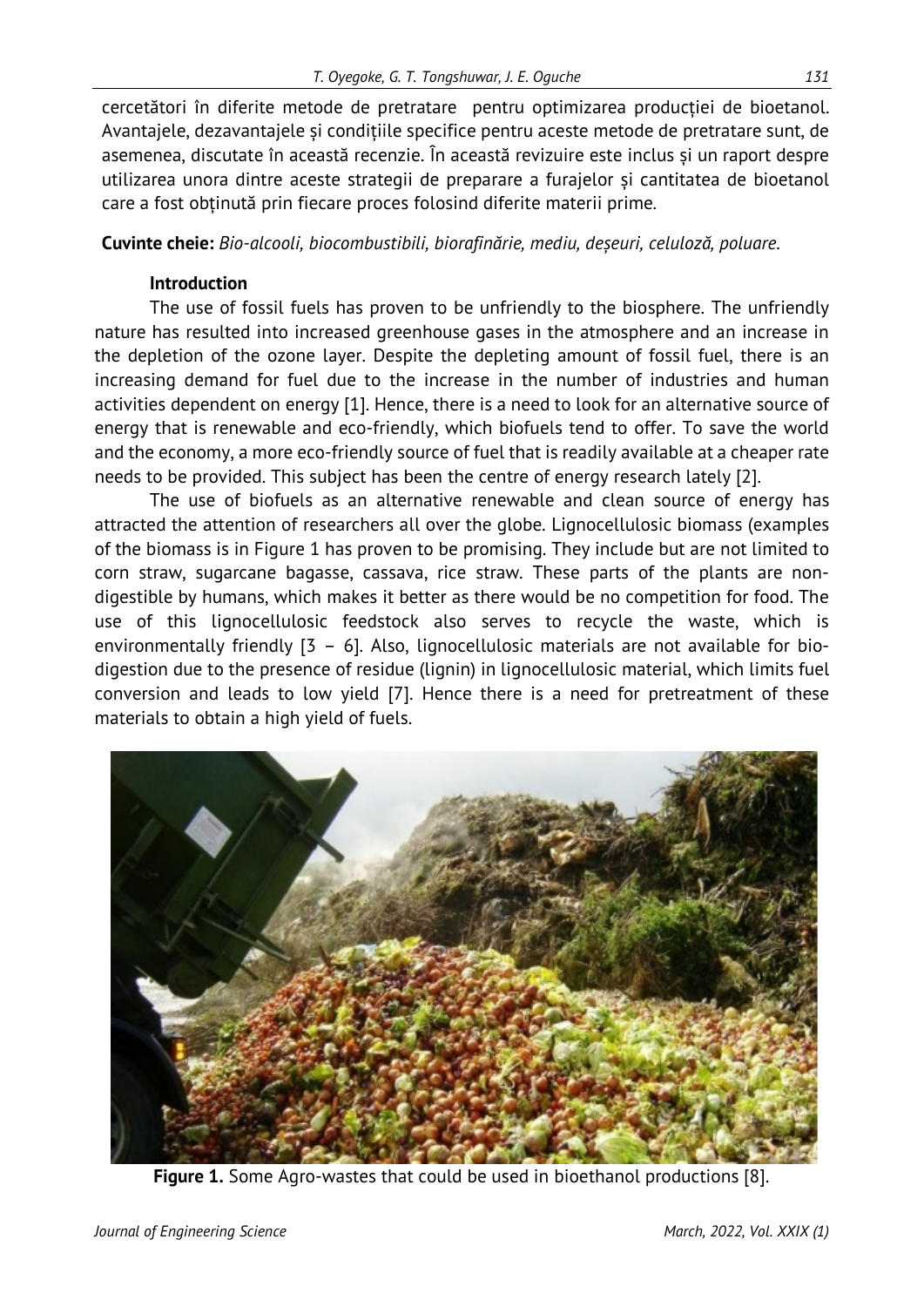cercetători în diferite metode de pretratare pentru optimizarea producției de bioetanol. Avantajele, dezavantajele și condițiile specifice pentru aceste metode de pretratare sunt, de asemenea, discutate în această recenzie. În această revizuire este inclus și un raport despre utilizarea unora dintre aceste strategii de preparare a furajelor și cantitatea de bioetanol care a fost obținută prin fiecare proces folosind diferite materii prime*.* 

**Cuvinte cheie:** *Bio-alcooli, biocombustibili, biorafinărie, mediu, deșeuri, celuloză, poluare.*

## **Introduction**

The use of fossil fuels has proven to be unfriendly to the biosphere. The unfriendly nature has resulted into increased greenhouse gases in the atmosphere and an increase in the depletion of the ozone layer. Despite the depleting amount of fossil fuel, there is an increasing demand for fuel due to the increase in the number of industries and human activities dependent on energy [1]. Hence, there is a need to look for an alternative source of energy that is renewable and eco-friendly, which biofuels tend to offer. To save the world and the economy, a more eco-friendly source of fuel that is readily available at a cheaper rate needs to be provided. This subject has been the centre of energy research lately [2].

The use of biofuels as an alternative renewable and clean source of energy has attracted the attention of researchers all over the globe. Lignocellulosic biomass (examples of the biomass is in Figure 1 has proven to be promising. They include but are not limited to corn straw, sugarcane bagasse, cassava, rice straw. These parts of the plants are nondigestible by humans, which makes it better as there would be no competition for food. The use of this lignocellulosic feedstock also serves to recycle the waste, which is environmentally friendly [3 – 6]. Also, lignocellulosic materials are not available for biodigestion due to the presence of residue (lignin) in lignocellulosic material, which limits fuel conversion and leads to low yield [7]. Hence there is a need for pretreatment of these materials to obtain a high yield of fuels.



**Figure 1.** Some Agro-wastes that could be used in bioethanol productions [8].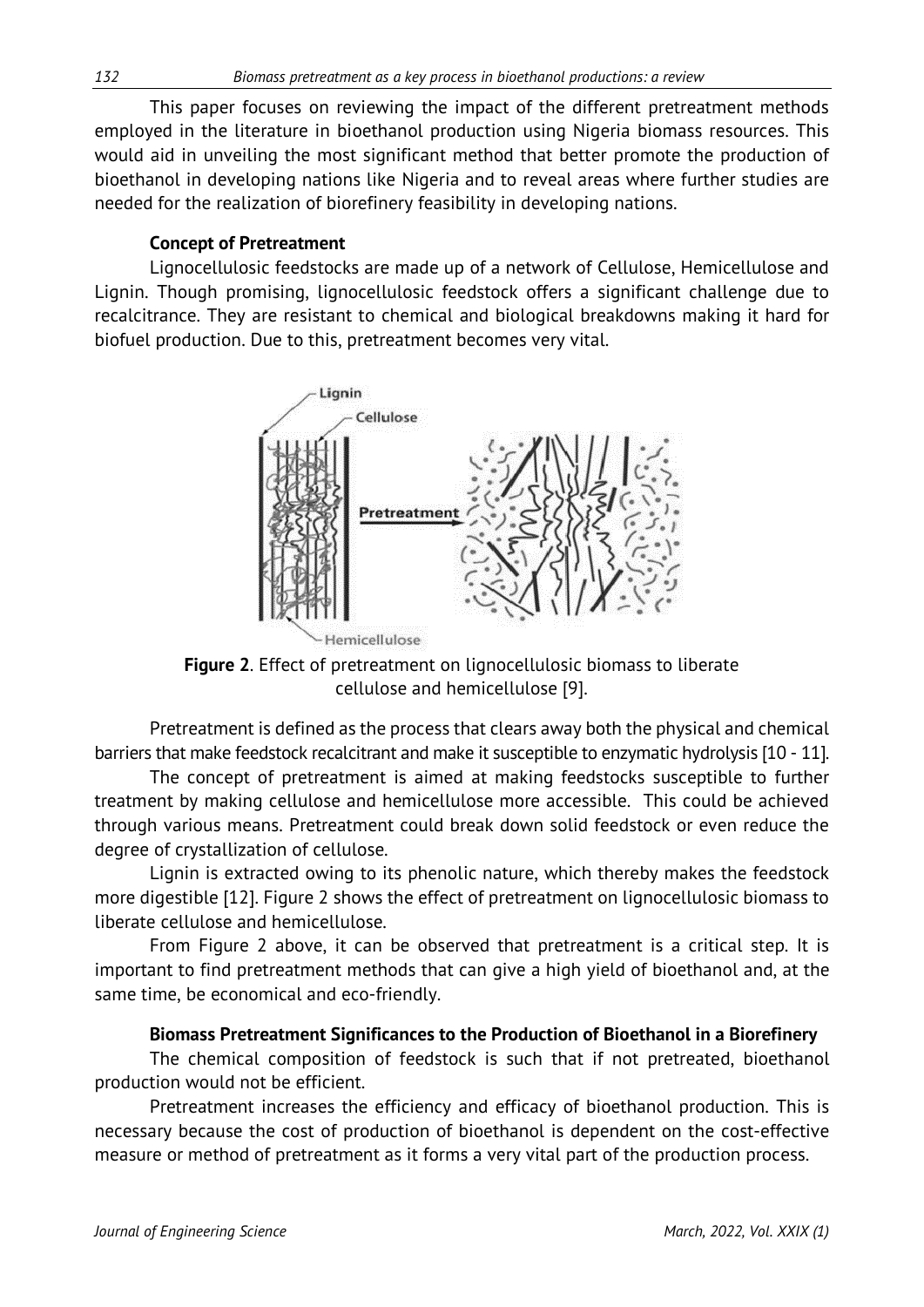This paper focuses on reviewing the impact of the different pretreatment methods employed in the literature in bioethanol production using Nigeria biomass resources. This would aid in unveiling the most significant method that better promote the production of bioethanol in developing nations like Nigeria and to reveal areas where further studies are needed for the realization of biorefinery feasibility in developing nations.

### **Concept of Pretreatment**

Lignocellulosic feedstocks are made up of a network of Cellulose, Hemicellulose and Lignin. Though promising, lignocellulosic feedstock offers a significant challenge due to recalcitrance. They are resistant to chemical and biological breakdowns making it hard for biofuel production. Due to this, pretreatment becomes very vital.



**Figure 2**. Effect of pretreatment on lignocellulosic biomass to liberate cellulose and hemicellulose [9].

Pretreatment is defined as the process that clears away both the physical and chemical barriers that make feedstock recalcitrant and make it susceptible to enzymatic hydrolysis [10 - 11].

The concept of pretreatment is aimed at making feedstocks susceptible to further treatment by making cellulose and hemicellulose more accessible. This could be achieved through various means. Pretreatment could break down solid feedstock or even reduce the degree of crystallization of cellulose.

Lignin is extracted owing to its phenolic nature, which thereby makes the feedstock more digestible [12]. Figure 2 shows the effect of pretreatment on lignocellulosic biomass to liberate cellulose and hemicellulose.

From Figure 2 above, it can be observed that pretreatment is a critical step. It is important to find pretreatment methods that can give a high yield of bioethanol and, at the same time, be economical and eco-friendly.

### **Biomass Pretreatment Significances to the Production of Bioethanol in a Biorefinery**

The chemical composition of feedstock is such that if not pretreated, bioethanol production would not be efficient.

Pretreatment increases the efficiency and efficacy of bioethanol production. This is necessary because the cost of production of bioethanol is dependent on the cost-effective measure or method of pretreatment as it forms a very vital part of the production process.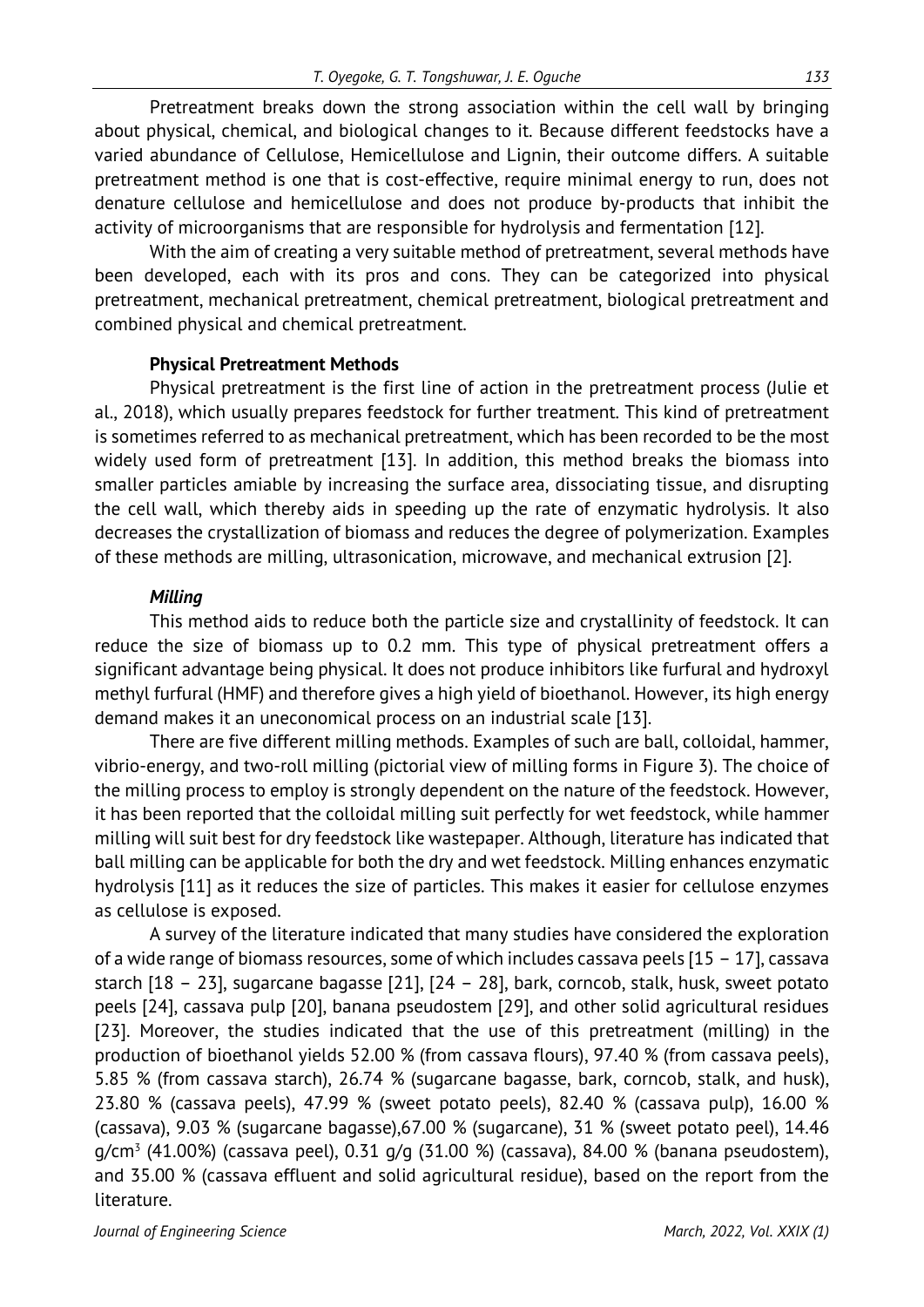Pretreatment breaks down the strong association within the cell wall by bringing about physical, chemical, and biological changes to it. Because different feedstocks have a varied abundance of Cellulose, Hemicellulose and Lignin, their outcome differs. A suitable pretreatment method is one that is cost-effective, require minimal energy to run, does not denature cellulose and hemicellulose and does not produce by-products that inhibit the activity of microorganisms that are responsible for hydrolysis and fermentation [12].

With the aim of creating a very suitable method of pretreatment, several methods have been developed, each with its pros and cons. They can be categorized into physical pretreatment, mechanical pretreatment, chemical pretreatment, biological pretreatment and combined physical and chemical pretreatment.

#### **Physical Pretreatment Methods**

Physical pretreatment is the first line of action in the pretreatment process (Julie et al., 2018), which usually prepares feedstock for further treatment. This kind of pretreatment is sometimes referred to as mechanical pretreatment, which has been recorded to be the most widely used form of pretreatment [13]. In addition, this method breaks the biomass into smaller particles amiable by increasing the surface area, dissociating tissue, and disrupting the cell wall, which thereby aids in speeding up the rate of enzymatic hydrolysis. It also decreases the crystallization of biomass and reduces the degree of polymerization. Examples of these methods are milling, ultrasonication, microwave, and mechanical extrusion [2].

#### *Milling*

This method aids to reduce both the particle size and crystallinity of feedstock. It can reduce the size of biomass up to 0.2 mm. This type of physical pretreatment offers a significant advantage being physical. It does not produce inhibitors like furfural and hydroxyl methyl furfural (HMF) and therefore gives a high yield of bioethanol. However, its high energy demand makes it an uneconomical process on an industrial scale [13].

There are five different milling methods. Examples of such are ball, colloidal, hammer, vibrio-energy, and two-roll milling (pictorial view of milling forms in Figure 3). The choice of the milling process to employ is strongly dependent on the nature of the feedstock. However, it has been reported that the colloidal milling suit perfectly for wet feedstock, while hammer milling will suit best for dry feedstock like wastepaper. Although, literature has indicated that ball milling can be applicable for both the dry and wet feedstock. Milling enhances enzymatic hydrolysis [11] as it reduces the size of particles. This makes it easier for cellulose enzymes as cellulose is exposed.

A survey of the literature indicated that many studies have considered the exploration of a wide range of biomass resources, some of which includes cassava peels [15 – 17], cassava starch [18 – 23], sugarcane bagasse [21], [24 – 28], bark, corncob, stalk, husk, sweet potato peels [24], cassava pulp [20], banana pseudostem [29], and other solid agricultural residues [23]. Moreover, the studies indicated that the use of this pretreatment (milling) in the production of bioethanol yields 52.00 % (from cassava flours), 97.40 % (from cassava peels), 5.85 % (from cassava starch), 26.74 % (sugarcane bagasse, bark, corncob, stalk, and husk), 23.80 % (cassava peels), 47.99 % (sweet potato peels), 82.40 % (cassava pulp), 16.00 % (cassava), 9.03 % (sugarcane bagasse),67.00 % (sugarcane), 31 % (sweet potato peel), 14.46  $q/cm^{3}$  (41.00%) (cassava peel), 0.31  $q/q$  (31.00 %) (cassava), 84.00 % (banana pseudostem), and 35.00 % (cassava effluent and solid agricultural residue), based on the report from the literature.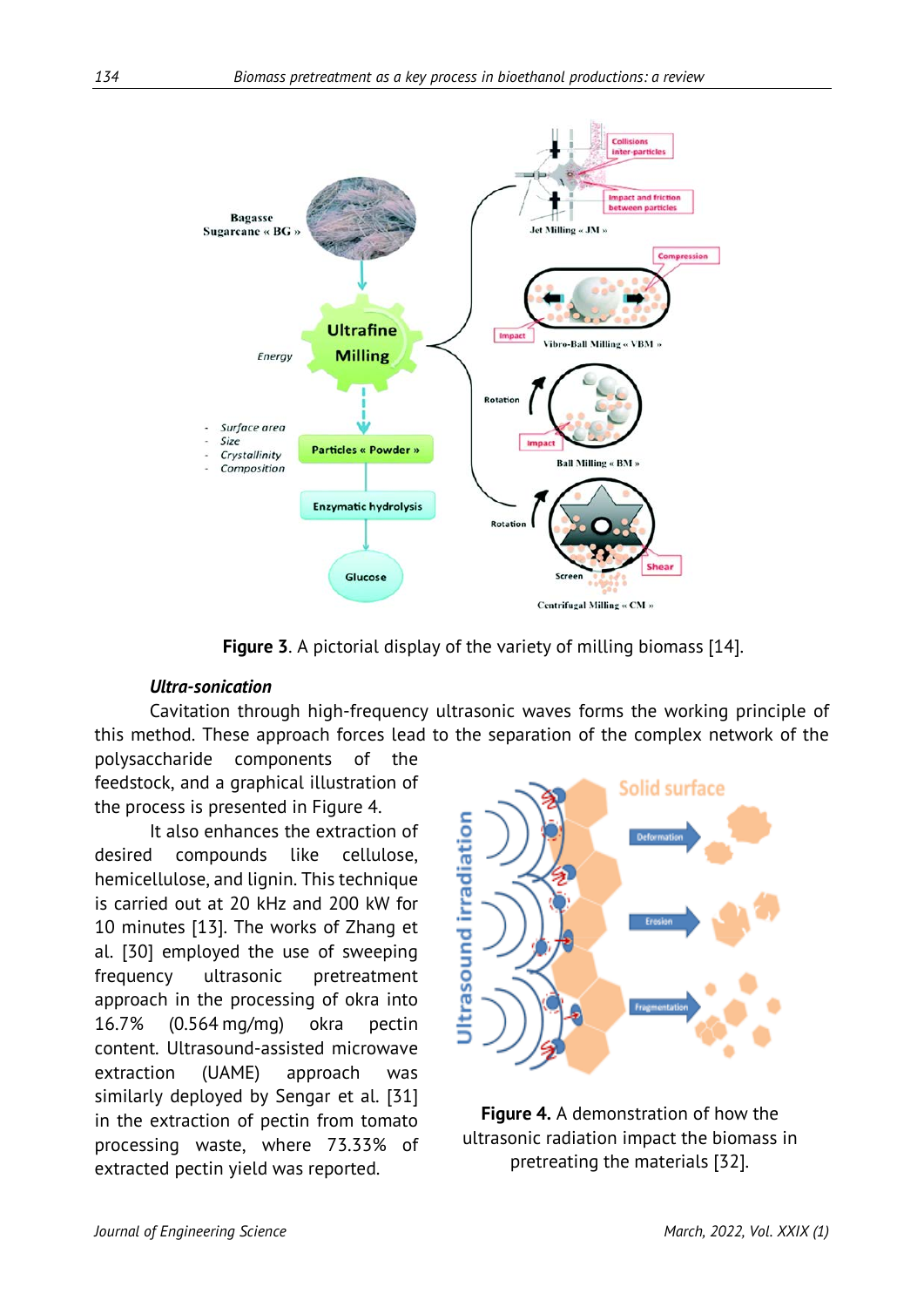

**Figure 3**. A pictorial display of the variety of milling biomass [14].

#### *Ultra-sonication*

Cavitation through high-frequency ultrasonic waves forms the working principle of this method. These approach forces lead to the separation of the complex network of the

polysaccharide components of the feedstock, and a graphical illustration of the process is presented in Figure 4.

It also enhances the extraction of desired compounds like cellulose, hemicellulose, and lignin. This technique is carried out at 20 kHz and 200 kW for 10 minutes [13]. The works of Zhang et al. [30] employed the use of sweeping frequency ultrasonic pretreatment approach in the processing of okra into 16.7% (0.564 mg/mg) okra pectin content. Ultrasound-assisted microwave extraction (UAME) approach was similarly deployed by Sengar et al. [31] in the extraction of pectin from tomato processing waste, where 73.33% of extracted pectin yield was reported.



**Figure 4.** A demonstration of how the ultrasonic radiation impact the biomass in pretreating the materials [32].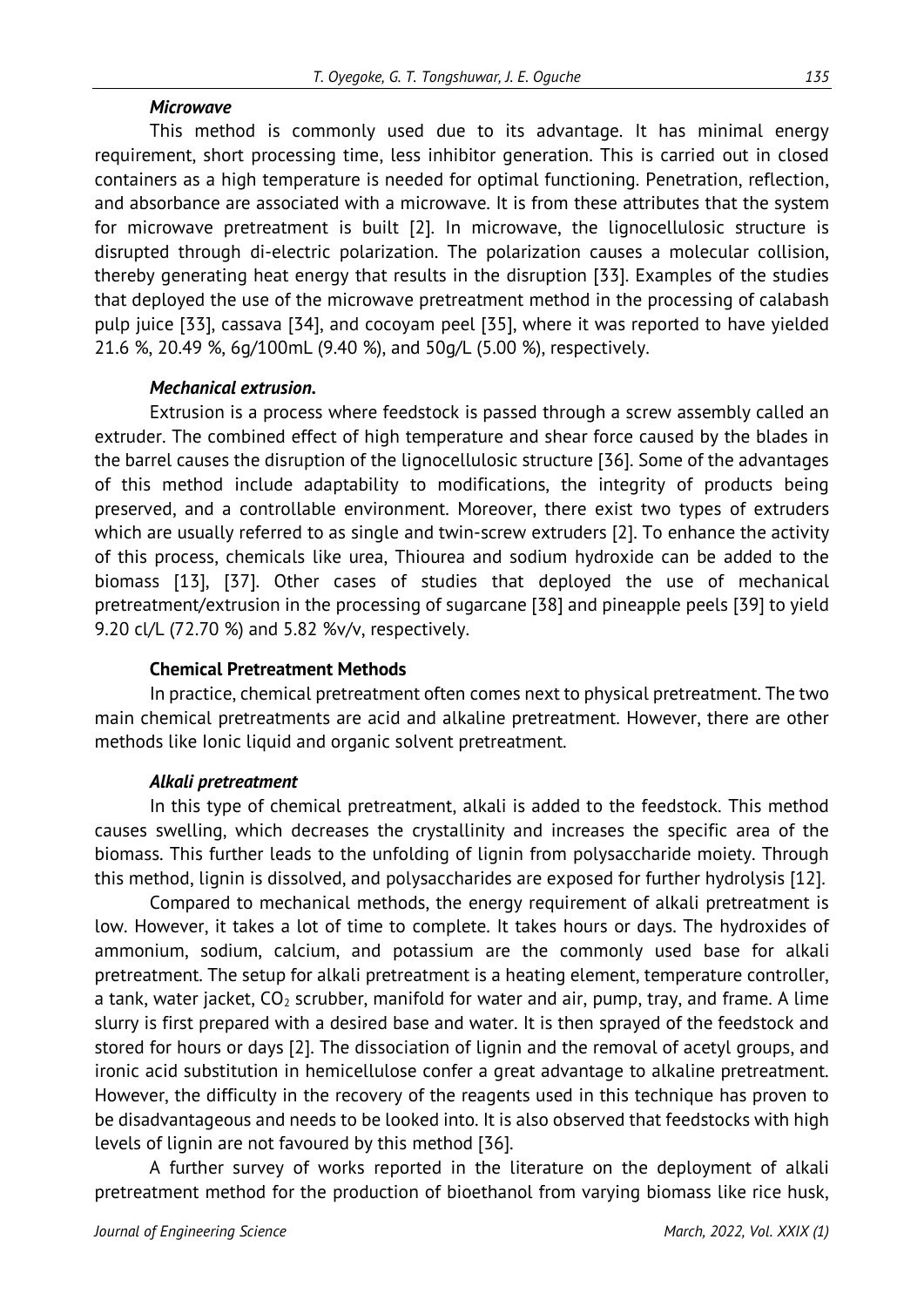#### *Microwave*

This method is commonly used due to its advantage. It has minimal energy requirement, short processing time, less inhibitor generation. This is carried out in closed containers as a high temperature is needed for optimal functioning. Penetration, reflection, and absorbance are associated with a microwave. It is from these attributes that the system for microwave pretreatment is built [2]. In microwave, the lignocellulosic structure is disrupted through di-electric polarization. The polarization causes a molecular collision, thereby generating heat energy that results in the disruption [33]. Examples of the studies that deployed the use of the microwave pretreatment method in the processing of calabash pulp juice [33], cassava [34], and cocoyam peel [35], where it was reported to have yielded 21.6 %, 20.49 %, 6g/100mL (9.40 %), and 50g/L (5.00 %), respectively.

### *Mechanical extrusion.*

Extrusion is a process where feedstock is passed through a screw assembly called an extruder. The combined effect of high temperature and shear force caused by the blades in the barrel causes the disruption of the lignocellulosic structure [36]. Some of the advantages of this method include adaptability to modifications, the integrity of products being preserved, and a controllable environment. Moreover, there exist two types of extruders which are usually referred to as single and twin-screw extruders [2]. To enhance the activity of this process, chemicals like urea, Thiourea and sodium hydroxide can be added to the biomass [13], [37]. Other cases of studies that deployed the use of mechanical pretreatment/extrusion in the processing of sugarcane [38] and pineapple peels [39] to yield 9.20 cl/L (72.70 %) and 5.82 %v/v, respectively.

### **Chemical Pretreatment Methods**

In practice, chemical pretreatment often comes next to physical pretreatment. The two main chemical pretreatments are acid and alkaline pretreatment. However, there are other methods like Ionic liquid and organic solvent pretreatment.

### *Alkali pretreatment*

In this type of chemical pretreatment, alkali is added to the feedstock. This method causes swelling, which decreases the crystallinity and increases the specific area of the biomass. This further leads to the unfolding of lignin from polysaccharide moiety. Through this method, lignin is dissolved, and polysaccharides are exposed for further hydrolysis [12].

Compared to mechanical methods, the energy requirement of alkali pretreatment is low. However, it takes a lot of time to complete. It takes hours or days. The hydroxides of ammonium, sodium, calcium, and potassium are the commonly used base for alkali pretreatment. The setup for alkali pretreatment is a heating element, temperature controller, a tank, water jacket,  $CO_2$  scrubber, manifold for water and air, pump, tray, and frame. A lime slurry is first prepared with a desired base and water. It is then sprayed of the feedstock and stored for hours or days [2]. The dissociation of lignin and the removal of acetyl groups, and ironic acid substitution in hemicellulose confer a great advantage to alkaline pretreatment. However, the difficulty in the recovery of the reagents used in this technique has proven to be disadvantageous and needs to be looked into. It is also observed that feedstocks with high levels of lignin are not favoured by this method [36].

A further survey of works reported in the literature on the deployment of alkali pretreatment method for the production of bioethanol from varying biomass like rice husk,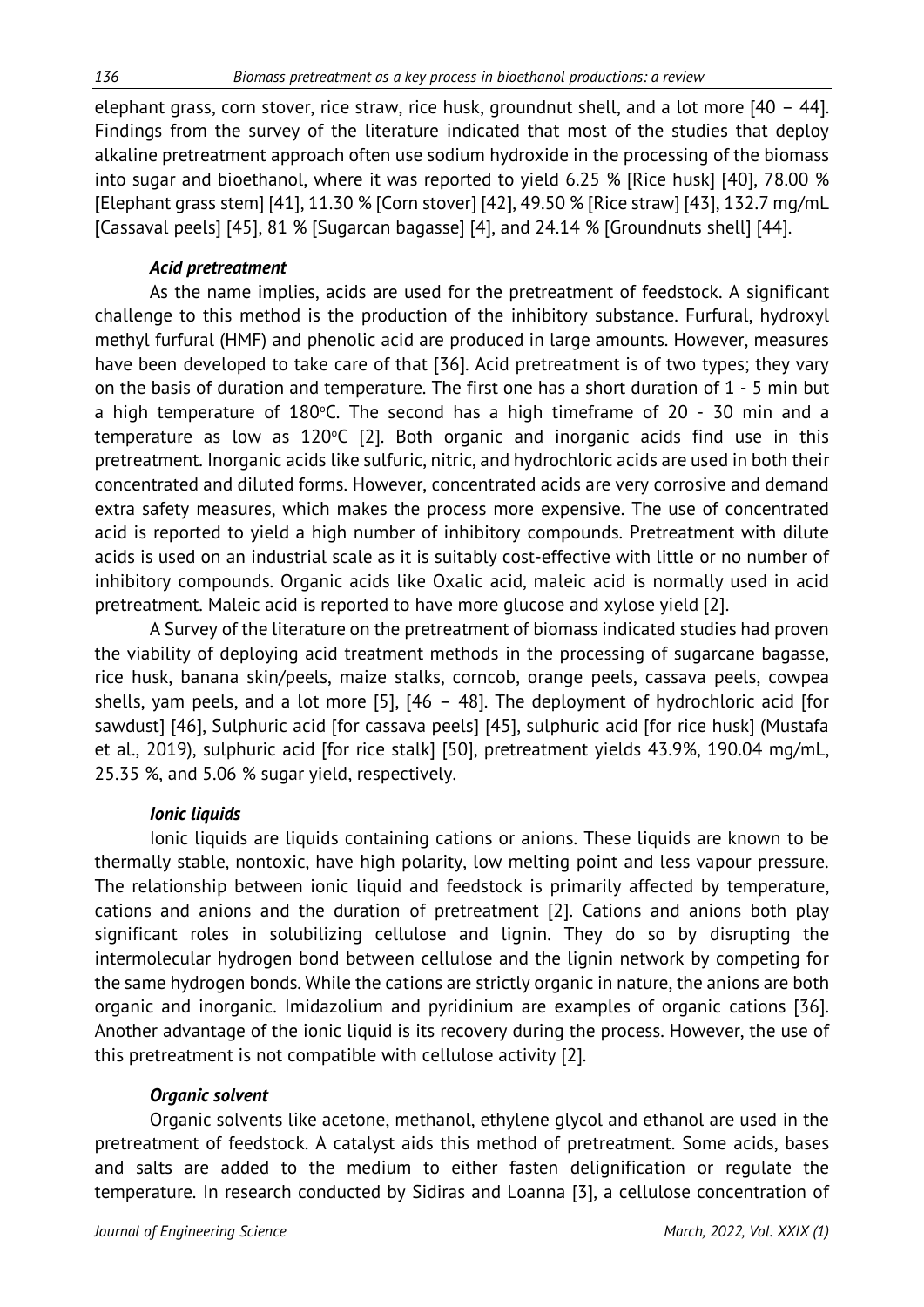elephant grass, corn stover, rice straw, rice husk, groundnut shell, and a lot more [40 – 44]. Findings from the survey of the literature indicated that most of the studies that deploy alkaline pretreatment approach often use sodium hydroxide in the processing of the biomass into sugar and bioethanol, where it was reported to yield 6.25 % [Rice husk] [40], 78.00 % [Elephant grass stem] [41], 11.30 % [Corn stover] [42], 49.50 % [Rice straw] [43], 132.7 mg/mL [Cassaval peels] [45], 81 % [Sugarcan bagasse] [4], and 24.14 % [Groundnuts shell] [44].

### *Acid pretreatment*

As the name implies, acids are used for the pretreatment of feedstock. A significant challenge to this method is the production of the inhibitory substance. Furfural, hydroxyl methyl furfural (HMF) and phenolic acid are produced in large amounts. However, measures have been developed to take care of that [36]. Acid pretreatment is of two types; they vary on the basis of duration and temperature. The first one has a short duration of 1 - 5 min but a high temperature of  $180^{\circ}$ C. The second has a high timeframe of 20 - 30 min and a  $t$ emperature as low as 120 $°C$  [2]. Both organic and inorganic acids find use in this pretreatment. Inorganic acids like sulfuric, nitric, and hydrochloric acids are used in both their concentrated and diluted forms. However, concentrated acids are very corrosive and demand extra safety measures, which makes the process more expensive. The use of concentrated acid is reported to yield a high number of inhibitory compounds. Pretreatment with dilute acids is used on an industrial scale as it is suitably cost-effective with little or no number of inhibitory compounds. Organic acids like Oxalic acid, maleic acid is normally used in acid pretreatment. Maleic acid is reported to have more glucose and xylose yield [2].

A Survey of the literature on the pretreatment of biomass indicated studies had proven the viability of deploying acid treatment methods in the processing of sugarcane bagasse, rice husk, banana skin/peels, maize stalks, corncob, orange peels, cassava peels, cowpea shells, yam peels, and a lot more [5], [46 – 48]. The deployment of hydrochloric acid [for sawdust] [46], Sulphuric acid [for cassava peels] [45], sulphuric acid [for rice husk] (Mustafa et al., 2019), sulphuric acid [for rice stalk] [50], pretreatment yields 43.9%, 190.04 mg/mL, 25.35 %, and 5.06 % sugar yield, respectively.

### *Ionic liquids*

Ionic liquids are liquids containing cations or anions. These liquids are known to be thermally stable, nontoxic, have high polarity, low melting point and less vapour pressure. The relationship between ionic liquid and feedstock is primarily affected by temperature, cations and anions and the duration of pretreatment [2]. Cations and anions both play significant roles in solubilizing cellulose and lignin. They do so by disrupting the intermolecular hydrogen bond between cellulose and the lignin network by competing for the same hydrogen bonds. While the cations are strictly organic in nature, the anions are both organic and inorganic. Imidazolium and pyridinium are examples of organic cations [36]. Another advantage of the ionic liquid is its recovery during the process. However, the use of this pretreatment is not compatible with cellulose activity [2].

### *Organic solvent*

Organic solvents like acetone, methanol, ethylene glycol and ethanol are used in the pretreatment of feedstock. A catalyst aids this method of pretreatment. Some acids, bases and salts are added to the medium to either fasten delignification or regulate the temperature. In research conducted by Sidiras and Loanna [3], a cellulose concentration of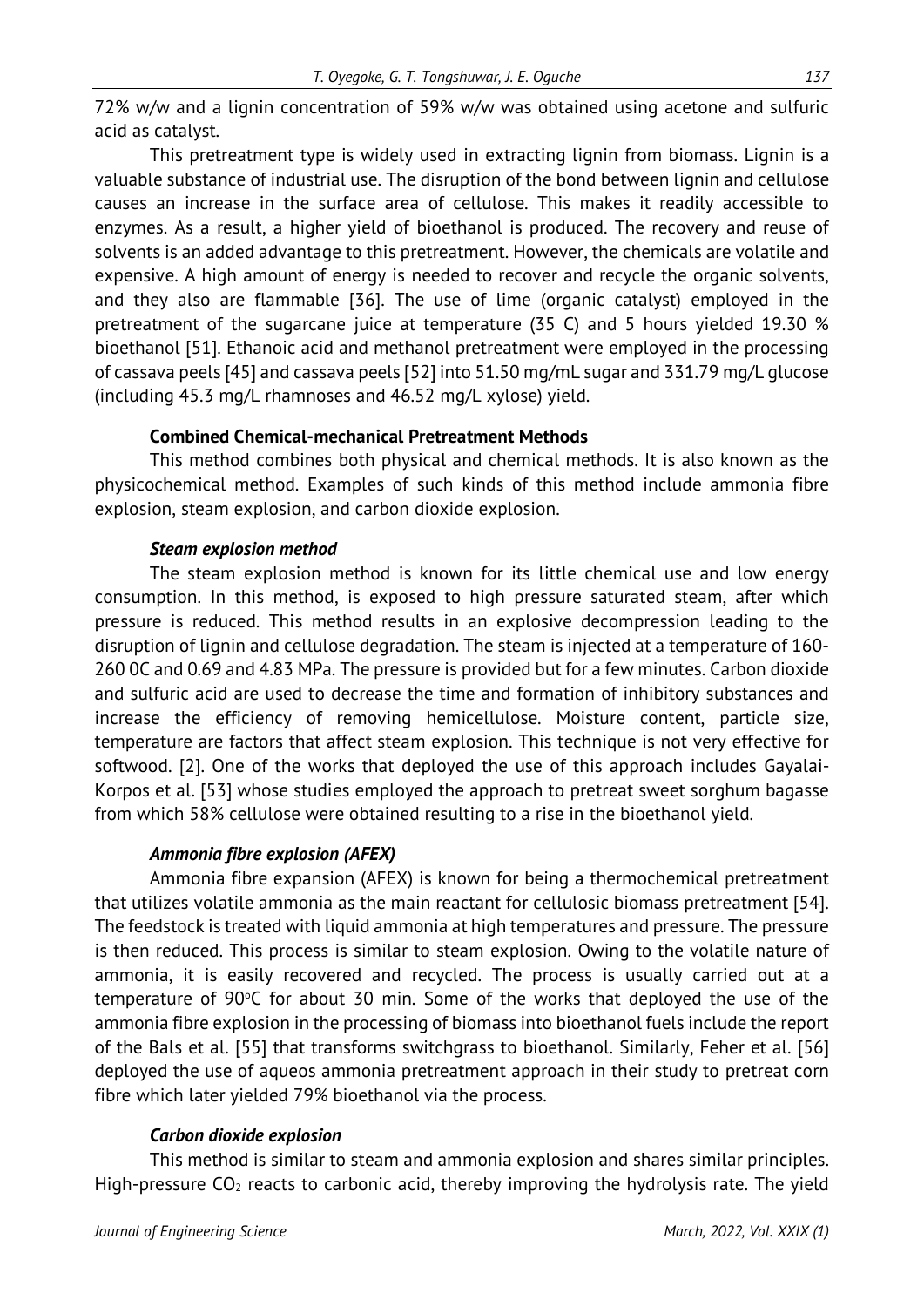72% w/w and a lignin concentration of 59% w/w was obtained using acetone and sulfuric acid as catalyst.

This pretreatment type is widely used in extracting lignin from biomass. Lignin is a valuable substance of industrial use. The disruption of the bond between lignin and cellulose causes an increase in the surface area of cellulose. This makes it readily accessible to enzymes. As a result, a higher yield of bioethanol is produced. The recovery and reuse of solvents is an added advantage to this pretreatment. However, the chemicals are volatile and expensive. A high amount of energy is needed to recover and recycle the organic solvents, and they also are flammable [36]. The use of lime (organic catalyst) employed in the pretreatment of the sugarcane juice at temperature (35 C) and 5 hours yielded 19.30 % bioethanol [51]. Ethanoic acid and methanol pretreatment were employed in the processing of cassava peels [45] and cassava peels [52] into 51.50 mg/mL sugar and 331.79 mg/L glucose (including 45.3 mg/L rhamnoses and 46.52 mg/L xylose) yield.

# **Combined Chemical-mechanical Pretreatment Methods**

This method combines both physical and chemical methods. It is also known as the physicochemical method. Examples of such kinds of this method include ammonia fibre explosion, steam explosion, and carbon dioxide explosion.

### *Steam explosion method*

The steam explosion method is known for its little chemical use and low energy consumption. In this method, is exposed to high pressure saturated steam, after which pressure is reduced. This method results in an explosive decompression leading to the disruption of lignin and cellulose degradation. The steam is injected at a temperature of 160- 260 0C and 0.69 and 4.83 MPa. The pressure is provided but for a few minutes. Carbon dioxide and sulfuric acid are used to decrease the time and formation of inhibitory substances and increase the efficiency of removing hemicellulose. Moisture content, particle size, temperature are factors that affect steam explosion. This technique is not very effective for softwood. [2]. One of the works that deployed the use of this approach includes Gayalai-Korpos et al. [53] whose studies employed the approach to pretreat sweet sorghum bagasse from which 58% cellulose were obtained resulting to a rise in the bioethanol yield.

# *Ammonia fibre explosion (AFEX)*

Ammonia fibre expansion (AFEX) is known for being a thermochemical pretreatment that utilizes volatile ammonia as the main reactant for cellulosic biomass pretreatment [54]. The feedstock is treated with liquid ammonia at high temperatures and pressure. The pressure is then reduced. This process is similar to steam explosion. Owing to the volatile nature of ammonia, it is easily recovered and recycled. The process is usually carried out at a temperature of 90°C for about 30 min. Some of the works that deployed the use of the ammonia fibre explosion in the processing of biomass into bioethanol fuels include the report of the Bals et al. [55] that transforms switchgrass to bioethanol. Similarly, Feher et al. [56] deployed the use of aqueos ammonia pretreatment approach in their study to pretreat corn fibre which later yielded 79% bioethanol via the process.

# *Carbon dioxide explosion*

This method is similar to steam and ammonia explosion and shares similar principles. High-pressure  $CO<sub>2</sub>$  reacts to carbonic acid, thereby improving the hydrolysis rate. The yield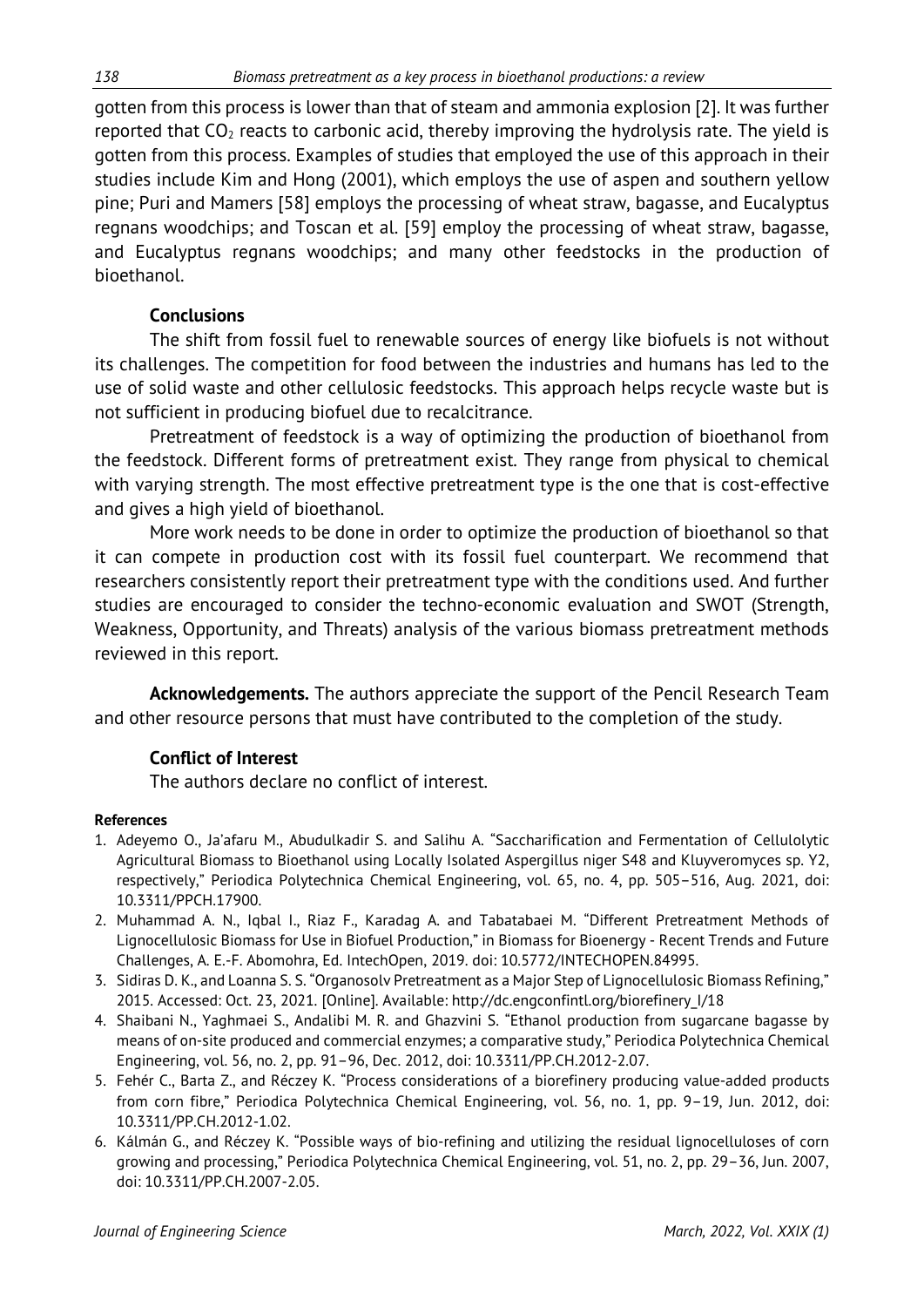gotten from this process is lower than that of steam and ammonia explosion [2]. It was further reported that  $CO<sub>2</sub>$  reacts to carbonic acid, thereby improving the hydrolysis rate. The yield is gotten from this process. Examples of studies that employed the use of this approach in their studies include Kim and Hong (2001), which employs the use of aspen and southern yellow pine; Puri and Mamers [58] employs the processing of wheat straw, bagasse, and Eucalyptus regnans woodchips; and Toscan et al. [59] employ the processing of wheat straw, bagasse, and Eucalyptus regnans woodchips; and many other feedstocks in the production of bioethanol.

### **Conclusions**

The shift from fossil fuel to renewable sources of energy like biofuels is not without its challenges. The competition for food between the industries and humans has led to the use of solid waste and other cellulosic feedstocks. This approach helps recycle waste but is not sufficient in producing biofuel due to recalcitrance.

Pretreatment of feedstock is a way of optimizing the production of bioethanol from the feedstock. Different forms of pretreatment exist. They range from physical to chemical with varying strength. The most effective pretreatment type is the one that is cost-effective and gives a high yield of bioethanol.

More work needs to be done in order to optimize the production of bioethanol so that it can compete in production cost with its fossil fuel counterpart. We recommend that researchers consistently report their pretreatment type with the conditions used. And further studies are encouraged to consider the techno-economic evaluation and SWOT (Strength, Weakness, Opportunity, and Threats) analysis of the various biomass pretreatment methods reviewed in this report.

**Acknowledgements.** The authors appreciate the support of the Pencil Research Team and other resource persons that must have contributed to the completion of the study.

# **Conflict of Interest**

The authors declare no conflict of interest.

### **References**

- 1. Adeyemo O., Ja'afaru M., Abudulkadir S. and Salihu A. "Saccharification and Fermentation of Cellulolytic Agricultural Biomass to Bioethanol using Locally Isolated Aspergillus niger S48 and Kluyveromyces sp. Y2, respectively," Periodica Polytechnica Chemical Engineering, vol. 65, no. 4, pp. 505–516, Aug. 2021, doi: 10.3311/PPCH.17900.
- 2. Muhammad A. N., Iqbal I., Riaz F., Karadag A. and Tabatabaei M. "Different Pretreatment Methods of Lignocellulosic Biomass for Use in Biofuel Production," in Biomass for Bioenergy - Recent Trends and Future Challenges, A. E.-F. Abomohra, Ed. IntechOpen, 2019. doi: 10.5772/INTECHOPEN.84995.
- 3. Sidiras D. K., and Loanna S. S. "Organosolv Pretreatment as a Major Step of Lignocellulosic Biomass Refining," 2015. Accessed: Oct. 23, 2021. [Online]. Available: http://dc.engconfintl.org/biorefinery\_I/18
- 4. Shaibani N., Yaghmaei S., Andalibi M. R. and Ghazvini S. "Ethanol production from sugarcane bagasse by means of on-site produced and commercial enzymes; a comparative study," Periodica Polytechnica Chemical Engineering, vol. 56, no. 2, pp. 91–96, Dec. 2012, doi: 10.3311/PP.CH.2012-2.07.
- 5. Fehér C., Barta Z., and Réczey K. "Process considerations of a biorefinery producing value-added products from corn fibre," Periodica Polytechnica Chemical Engineering, vol. 56, no. 1, pp. 9–19, Jun. 2012, doi: 10.3311/PP.CH.2012-1.02.
- 6. Kálmán G., and Réczey K. "Possible ways of bio-refining and utilizing the residual lignocelluloses of corn growing and processing," Periodica Polytechnica Chemical Engineering, vol. 51, no. 2, pp. 29–36, Jun. 2007, doi: 10.3311/PP.CH.2007-2.05.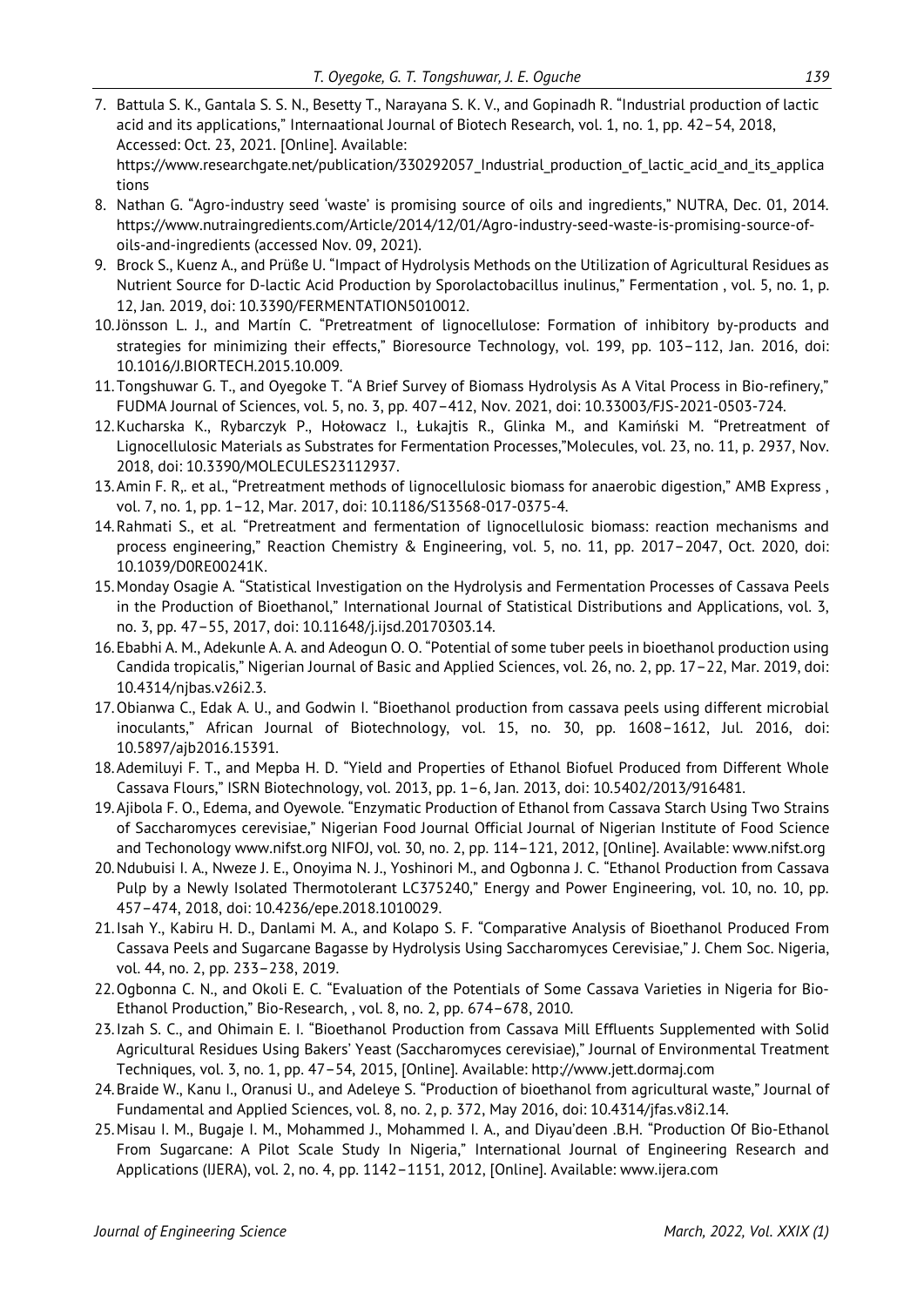- 7. Battula S. K., Gantala S. S. N., Besetty T., Narayana S. K. V., and Gopinadh R. "Industrial production of lactic acid and its applications," Internaational Journal of Biotech Research, vol. 1, no. 1, pp. 42–54, 2018, Accessed: Oct. 23, 2021. [Online]. Available: https://www.researchgate.net/publication/330292057 Industrial production of lactic acid and its applica tions
- 8. Nathan G. "Agro-industry seed 'waste' is promising source of oils and ingredients," NUTRA, Dec. 01, 2014. https://www.nutraingredients.com/Article/2014/12/01/Agro-industry-seed-waste-is-promising-source-ofoils-and-ingredients (accessed Nov. 09, 2021).
- 9. Brock S., Kuenz A., and Prüße U. "Impact of Hydrolysis Methods on the Utilization of Agricultural Residues as Nutrient Source for D-lactic Acid Production by Sporolactobacillus inulinus," Fermentation , vol. 5, no. 1, p. 12, Jan. 2019, doi: 10.3390/FERMENTATION5010012.
- 10.Jönsson L. J., and Martín C. "Pretreatment of lignocellulose: Formation of inhibitory by-products and strategies for minimizing their effects," Bioresource Technology, vol. 199, pp. 103–112, Jan. 2016, doi: 10.1016/J.BIORTECH.2015.10.009.
- 11.Tongshuwar G. T., and Oyegoke T. "A Brief Survey of Biomass Hydrolysis As A Vital Process in Bio-refinery," FUDMA Journal of Sciences, vol. 5, no. 3, pp. 407–412, Nov. 2021, doi: 10.33003/FJS-2021-0503-724.
- 12.Kucharska K., Rybarczyk P., Hołowacz I., Łukajtis R., Glinka M., and Kamiński M. "Pretreatment of Lignocellulosic Materials as Substrates for Fermentation Processes,"Molecules, vol. 23, no. 11, p. 2937, Nov. 2018, doi: 10.3390/MOLECULES23112937.
- 13.Amin F. R,. et al., "Pretreatment methods of lignocellulosic biomass for anaerobic digestion," AMB Express , vol. 7, no. 1, pp. 1–12, Mar. 2017, doi: 10.1186/S13568-017-0375-4.
- 14.Rahmati S., et al. "Pretreatment and fermentation of lignocellulosic biomass: reaction mechanisms and process engineering," Reaction Chemistry & Engineering, vol. 5, no. 11, pp. 2017–2047, Oct. 2020, doi: 10.1039/D0RE00241K.
- 15.Monday Osagie A. "Statistical Investigation on the Hydrolysis and Fermentation Processes of Cassava Peels in the Production of Bioethanol," International Journal of Statistical Distributions and Applications, vol. 3, no. 3, pp. 47–55, 2017, doi: 10.11648/j.ijsd.20170303.14.
- 16.Ebabhi A. M., Adekunle A. A. and Adeogun O. O. "Potential of some tuber peels in bioethanol production using Candida tropicalis," Nigerian Journal of Basic and Applied Sciences, vol. 26, no. 2, pp. 17–22, Mar. 2019, doi: 10.4314/njbas.v26i2.3.
- 17.Obianwa C., Edak A. U., and Godwin I. "Bioethanol production from cassava peels using different microbial inoculants," African Journal of Biotechnology, vol. 15, no. 30, pp. 1608–1612, Jul. 2016, doi: 10.5897/ajb2016.15391.
- 18.Ademiluyi F. T., and Mepba H. D. "Yield and Properties of Ethanol Biofuel Produced from Different Whole Cassava Flours," ISRN Biotechnology, vol. 2013, pp. 1–6, Jan. 2013, doi: 10.5402/2013/916481.
- 19.Ajibola F. O., Edema, and Oyewole. "Enzymatic Production of Ethanol from Cassava Starch Using Two Strains of Saccharomyces cerevisiae," Nigerian Food Journal Official Journal of Nigerian Institute of Food Science and Techonology www.nifst.org NIFOJ, vol. 30, no. 2, pp. 114–121, 2012, [Online]. Available: www.nifst.org
- 20.Ndubuisi I. A., Nweze J. E., Onoyima N. J., Yoshinori M., and Ogbonna J. C. "Ethanol Production from Cassava Pulp by a Newly Isolated Thermotolerant LC375240," Energy and Power Engineering, vol. 10, no. 10, pp. 457–474, 2018, doi: 10.4236/epe.2018.1010029.
- 21.Isah Y., Kabiru H. D., Danlami M. A., and Kolapo S. F. "Comparative Analysis of Bioethanol Produced From Cassava Peels and Sugarcane Bagasse by Hydrolysis Using Saccharomyces Cerevisiae," J. Chem Soc. Nigeria, vol. 44, no. 2, pp. 233–238, 2019.
- 22.Ogbonna C. N., and Okoli E. C. "Evaluation of the Potentials of Some Cassava Varieties in Nigeria for Bio-Ethanol Production," Bio-Research, , vol. 8, no. 2, pp. 674–678, 2010.
- 23.Izah S. C., and Ohimain E. I. "Bioethanol Production from Cassava Mill Effluents Supplemented with Solid Agricultural Residues Using Bakers' Yeast (Saccharomyces cerevisiae)," Journal of Environmental Treatment Techniques, vol. 3, no. 1, pp. 47–54, 2015, [Online]. Available: http://www.jett.dormaj.com
- 24.Braide W., Kanu I., Oranusi U., and Adeleye S. "Production of bioethanol from agricultural waste," Journal of Fundamental and Applied Sciences, vol. 8, no. 2, p. 372, May 2016, doi: 10.4314/jfas.v8i2.14.
- 25.Misau I. M., Bugaje I. M., Mohammed J., Mohammed I. A., and Diyau'deen .B.H. "Production Of Bio-Ethanol From Sugarcane: A Pilot Scale Study In Nigeria," International Journal of Engineering Research and Applications (IJERA), vol. 2, no. 4, pp. 1142–1151, 2012, [Online]. Available: www.ijera.com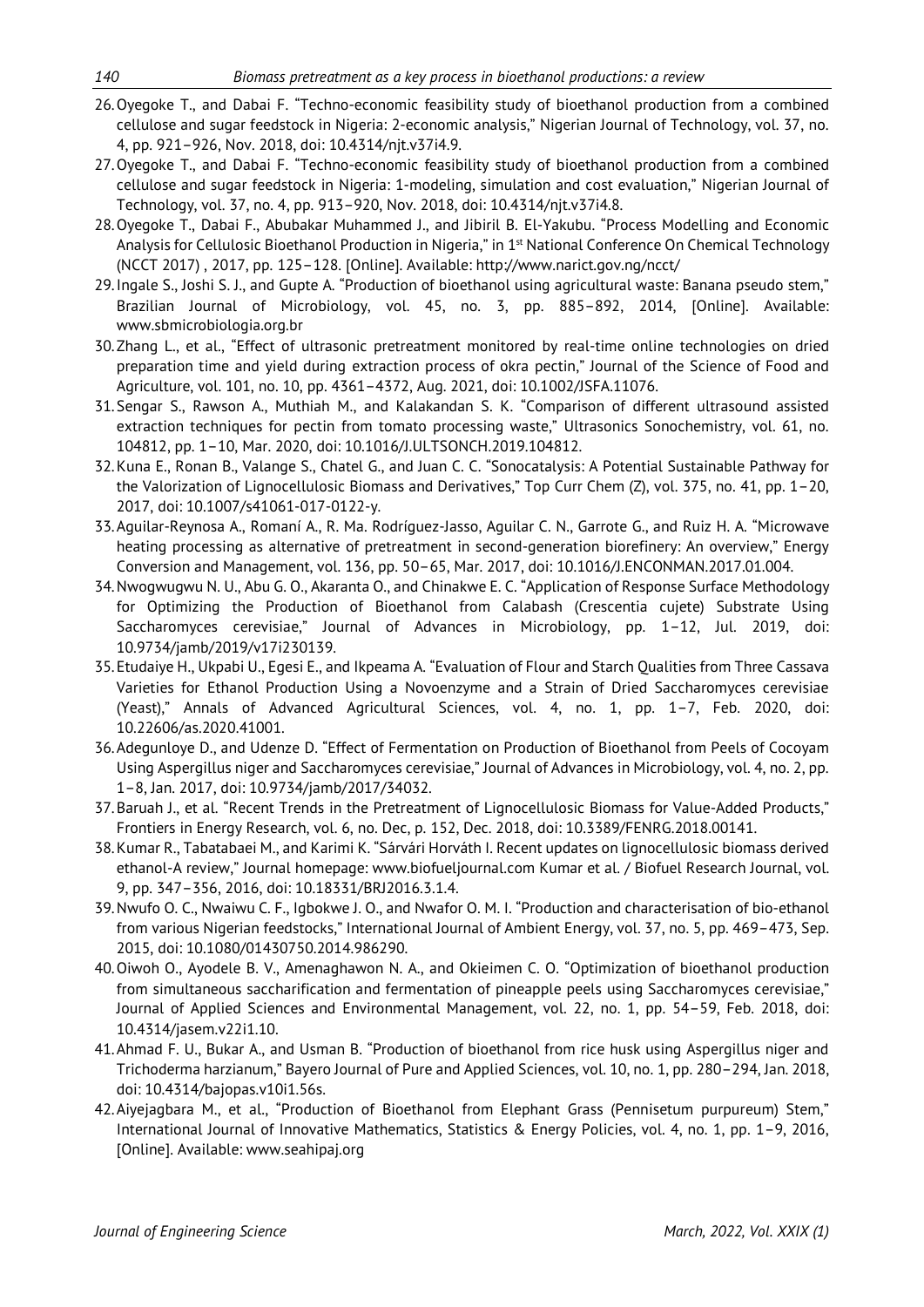- 26.Oyegoke T., and Dabai F. "Techno-economic feasibility study of bioethanol production from a combined cellulose and sugar feedstock in Nigeria: 2-economic analysis," Nigerian Journal of Technology, vol. 37, no. 4, pp. 921–926, Nov. 2018, doi: 10.4314/njt.v37i4.9.
- 27.Oyegoke T., and Dabai F. "Techno-economic feasibility study of bioethanol production from a combined cellulose and sugar feedstock in Nigeria: 1-modeling, simulation and cost evaluation," Nigerian Journal of Technology, vol. 37, no. 4, pp. 913–920, Nov. 2018, doi: 10.4314/njt.v37i4.8.
- 28.Oyegoke T., Dabai F., Abubakar Muhammed J., and Jibiril B. El-Yakubu. "Process Modelling and Economic Analysis for Cellulosic Bioethanol Production in Nigeria," in 1<sup>st</sup> National Conference On Chemical Technology (NCCT 2017) , 2017, pp. 125–128. [Online]. Available: http://www.narict.gov.ng/ncct/
- 29.Ingale S., Joshi S. J., and Gupte A. "Production of bioethanol using agricultural waste: Banana pseudo stem," Brazilian Journal of Microbiology, vol. 45, no. 3, pp. 885–892, 2014, [Online]. Available: www.sbmicrobiologia.org.br
- 30.Zhang L., et al., "Effect of ultrasonic pretreatment monitored by real-time online technologies on dried preparation time and yield during extraction process of okra pectin," Journal of the Science of Food and Agriculture, vol. 101, no. 10, pp. 4361–4372, Aug. 2021, doi: 10.1002/JSFA.11076.
- 31.Sengar S., Rawson A., Muthiah M., and Kalakandan S. K. "Comparison of different ultrasound assisted extraction techniques for pectin from tomato processing waste," Ultrasonics Sonochemistry, vol. 61, no. 104812, pp. 1–10, Mar. 2020, doi: 10.1016/J.ULTSONCH.2019.104812.
- 32.Kuna E., Ronan B., Valange S., Chatel G., and Juan C. C. "Sonocatalysis: A Potential Sustainable Pathway for the Valorization of Lignocellulosic Biomass and Derivatives," Top Curr Chem (Z), vol. 375, no. 41, pp. 1–20, 2017, doi: 10.1007/s41061-017-0122-y.
- 33.Aguilar-Reynosa A., Romaní A., R. Ma. Rodríguez-Jasso, Aguilar C. N., Garrote G., and Ruiz H. A. "Microwave heating processing as alternative of pretreatment in second-generation biorefinery: An overview," Energy Conversion and Management, vol. 136, pp. 50–65, Mar. 2017, doi: 10.1016/J.ENCONMAN.2017.01.004.
- 34.Nwogwugwu N. U., Abu G. O., Akaranta O., and Chinakwe E. C. "Application of Response Surface Methodology for Optimizing the Production of Bioethanol from Calabash (Crescentia cujete) Substrate Using Saccharomyces cerevisiae," Journal of Advances in Microbiology, pp. 1–12, Jul. 2019, doi: 10.9734/jamb/2019/v17i230139.
- 35.Etudaiye H., Ukpabi U., Egesi E., and Ikpeama A. "Evaluation of Flour and Starch Qualities from Three Cassava Varieties for Ethanol Production Using a Novoenzyme and a Strain of Dried Saccharomyces cerevisiae (Yeast)," Annals of Advanced Agricultural Sciences, vol. 4, no. 1, pp. 1–7, Feb. 2020, doi: 10.22606/as.2020.41001.
- 36.Adegunloye D., and Udenze D. "Effect of Fermentation on Production of Bioethanol from Peels of Cocoyam Using Aspergillus niger and Saccharomyces cerevisiae," Journal of Advances in Microbiology, vol. 4, no. 2, pp. 1–8, Jan. 2017, doi: 10.9734/jamb/2017/34032.
- 37.Baruah J., et al. "Recent Trends in the Pretreatment of Lignocellulosic Biomass for Value-Added Products," Frontiers in Energy Research, vol. 6, no. Dec, p. 152, Dec. 2018, doi: 10.3389/FENRG.2018.00141.
- 38.Kumar R., Tabatabaei M., and Karimi K. "Sárvári Horváth I. Recent updates on lignocellulosic biomass derived ethanol-A review," Journal homepage: www.biofueljournal.com Kumar et al. / Biofuel Research Journal, vol. 9, pp. 347–356, 2016, doi: 10.18331/BRJ2016.3.1.4.
- 39.Nwufo O. C., Nwaiwu C. F., Igbokwe J. O., and Nwafor O. M. I. "Production and characterisation of bio-ethanol from various Nigerian feedstocks," International Journal of Ambient Energy, vol. 37, no. 5, pp. 469–473, Sep. 2015, doi: 10.1080/01430750.2014.986290.
- 40.Oiwoh O., Ayodele B. V., Amenaghawon N. A., and Okieimen C. O. "Optimization of bioethanol production from simultaneous saccharification and fermentation of pineapple peels using Saccharomyces cerevisiae," Journal of Applied Sciences and Environmental Management, vol. 22, no. 1, pp. 54–59, Feb. 2018, doi: 10.4314/jasem.v22i1.10.
- 41.Ahmad F. U., Bukar A., and Usman B. "Production of bioethanol from rice husk using Aspergillus niger and Trichoderma harzianum," Bayero Journal of Pure and Applied Sciences, vol. 10, no. 1, pp. 280–294, Jan. 2018, doi: 10.4314/bajopas.v10i1.56s.
- 42.Aiyejagbara M., et al., "Production of Bioethanol from Elephant Grass (Pennisetum purpureum) Stem," International Journal of Innovative Mathematics, Statistics & Energy Policies, vol. 4, no. 1, pp. 1–9, 2016, [Online]. Available: www.seahipaj.org